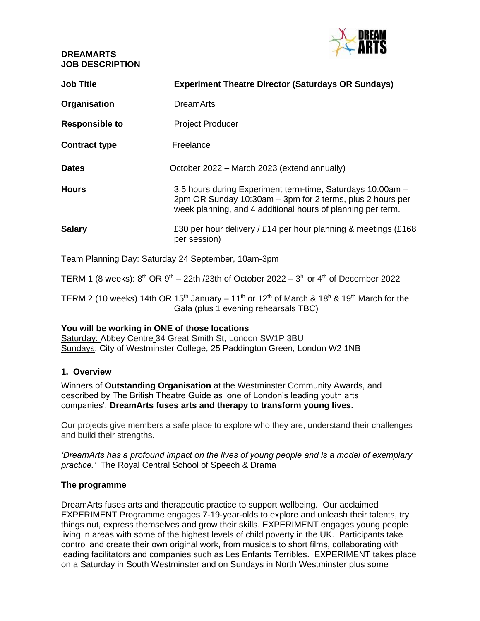## **DREAMARTS JOB DESCRIPTION**



| <b>Job Title</b>      | <b>Experiment Theatre Director (Saturdays OR Sundays)</b>                                                                                                                              |
|-----------------------|----------------------------------------------------------------------------------------------------------------------------------------------------------------------------------------|
| Organisation          | <b>DreamArts</b>                                                                                                                                                                       |
| <b>Responsible to</b> | <b>Project Producer</b>                                                                                                                                                                |
| <b>Contract type</b>  | Freelance                                                                                                                                                                              |
| <b>Dates</b>          | October 2022 – March 2023 (extend annually)                                                                                                                                            |
| <b>Hours</b>          | 3.5 hours during Experiment term-time, Saturdays 10:00am -<br>2pm OR Sunday 10:30am – 3pm for 2 terms, plus 2 hours per<br>week planning, and 4 additional hours of planning per term. |
| <b>Salary</b>         | £30 per hour delivery / £14 per hour planning & meetings (£168<br>per session)                                                                                                         |

Team Planning Day: Saturday 24 September, 10am-3pm

TERM 1 (8 weeks):  $8^{th}$  OR  $9^{th}$  – 22th /23th of October 2022 –  $3^{h}$  or  $4^{th}$  of December 2022

TERM 2 (10 weeks) 14th OR 15<sup>th</sup> January – 11<sup>th</sup> or 12<sup>th</sup> of March & 18<sup>h</sup> & 19<sup>th</sup> March for the Gala (plus 1 evening rehearsals TBC)

#### **You will be working in ONE of those locations**

Saturday: Abbey Centre 34 Great Smith St, London SW1P 3BU Sundays; City of Westminster College, 25 Paddington Green, London W2 1NB

## **1. Overview**

Winners of **Outstanding Organisation** at the Westminster Community Awards, and described by The British Theatre Guide as 'one of London's leading youth arts companies', **DreamArts fuses arts and therapy to transform young lives.** 

Our projects give members a safe place to explore who they are, understand their challenges and build their strengths.

*'DreamArts has a profound impact on the lives of young people and is a model of exemplary practice.'* The Royal Central School of Speech & Drama

#### **The programme**

DreamArts fuses arts and therapeutic practice to support wellbeing. Our acclaimed EXPERIMENT Programme engages 7-19-year-olds to explore and unleash their talents, try things out, express themselves and grow their skills. EXPERIMENT engages young people living in areas with some of the highest levels of child poverty in the UK. Participants take control and create their own original work, from musicals to short films, collaborating with leading facilitators and companies such as Les Enfants Terribles. EXPERIMENT takes place on a Saturday in South Westminster and on Sundays in North Westminster plus some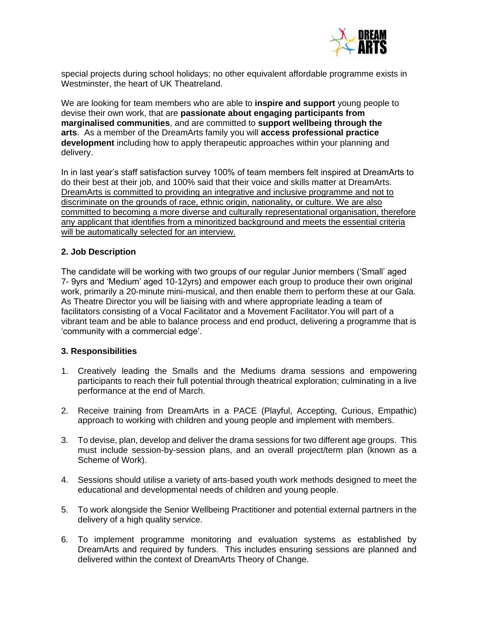

special projects during school holidays; no other equivalent affordable programme exists in Westminster, the heart of UK Theatreland.

We are looking for team members who are able to **inspire and support** young people to devise their own work, that are **passionate about engaging participants from marginalised communities**, and are committed to **support wellbeing through the arts**. As a member of the DreamArts family you will **access professional practice development** including how to apply therapeutic approaches within your planning and delivery.

In in last year's staff satisfaction survey 100% of team members felt inspired at DreamArts to do their best at their job, and 100% said that their voice and skills matter at DreamArts. DreamArts is committed to providing an integrative and inclusive programme and not to discriminate on the grounds of race, ethnic origin, nationality, or culture. We are also committed to becoming a more diverse and culturally representational organisation, therefore any applicant that identifies from a minoritized background and meets the essential criteria will be automatically selected for an interview.

### **2. Job Description**

The candidate will be working with two groups of our regular Junior members ('Small' aged 7- 9yrs and 'Medium' aged 10-12yrs) and empower each group to produce their own original work, primarily a 20-minute mini-musical, and then enable them to perform these at our Gala. As Theatre Director you will be liaising with and where appropriate leading a team of facilitators consisting of a Vocal Facilitator and a Movement Facilitator.You will part of a vibrant team and be able to balance process and end product, delivering a programme that is 'community with a commercial edge'.

#### **3. Responsibilities**

- 1. Creatively leading the Smalls and the Mediums drama sessions and empowering participants to reach their full potential through theatrical exploration; culminating in a live performance at the end of March.
- 2. Receive training from DreamArts in a PACE (Playful, Accepting, Curious, Empathic) approach to working with children and young people and implement with members.
- 3. To devise, plan, develop and deliver the drama sessions for two different age groups. This must include session-by-session plans, and an overall project/term plan (known as a Scheme of Work).
- 4. Sessions should utilise a variety of arts-based youth work methods designed to meet the educational and developmental needs of children and young people.
- 5. To work alongside the Senior Wellbeing Practitioner and potential external partners in the delivery of a high quality service.
- 6. To implement programme monitoring and evaluation systems as established by DreamArts and required by funders. This includes ensuring sessions are planned and delivered within the context of DreamArts Theory of Change.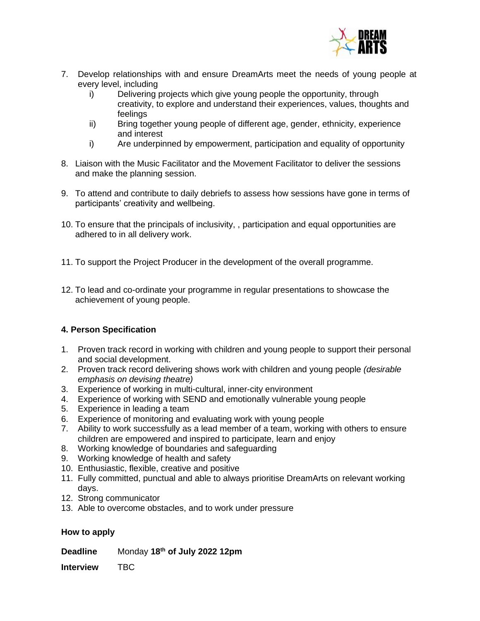

- 7. Develop relationships with and ensure DreamArts meet the needs of young people at every level, including
	- i) Delivering projects which give young people the opportunity, through creativity, to explore and understand their experiences, values, thoughts and feelings
	- ii) Bring together young people of different age, gender, ethnicity, experience and interest
	- i) Are underpinned by empowerment, participation and equality of opportunity
- 8. Liaison with the Music Facilitator and the Movement Facilitator to deliver the sessions and make the planning session.
- 9. To attend and contribute to daily debriefs to assess how sessions have gone in terms of participants' creativity and wellbeing.
- 10. To ensure that the principals of inclusivity, , participation and equal opportunities are adhered to in all delivery work.
- 11. To support the Project Producer in the development of the overall programme.
- 12. To lead and co-ordinate your programme in regular presentations to showcase the achievement of young people.

## **4. Person Specification**

- 1. Proven track record in working with children and young people to support their personal and social development.
- 2. Proven track record delivering shows work with children and young people *(desirable emphasis on devising theatre)*
- 3. Experience of working in multi-cultural, inner-city environment
- 4. Experience of working with SEND and emotionally vulnerable young people
- 5. Experience in leading a team
- 6. Experience of monitoring and evaluating work with young people
- 7. Ability to work successfully as a lead member of a team, working with others to ensure children are empowered and inspired to participate, learn and enjoy
- 8. Working knowledge of boundaries and safeguarding
- 9. Working knowledge of health and safety
- 10. Enthusiastic, flexible, creative and positive
- 11. Fully committed, punctual and able to always prioritise DreamArts on relevant working days.
- 12. Strong communicator
- 13. Able to overcome obstacles, and to work under pressure

#### **How to apply**

**Deadline** Monday **18th of July 2022 12pm**

**Interview** TBC